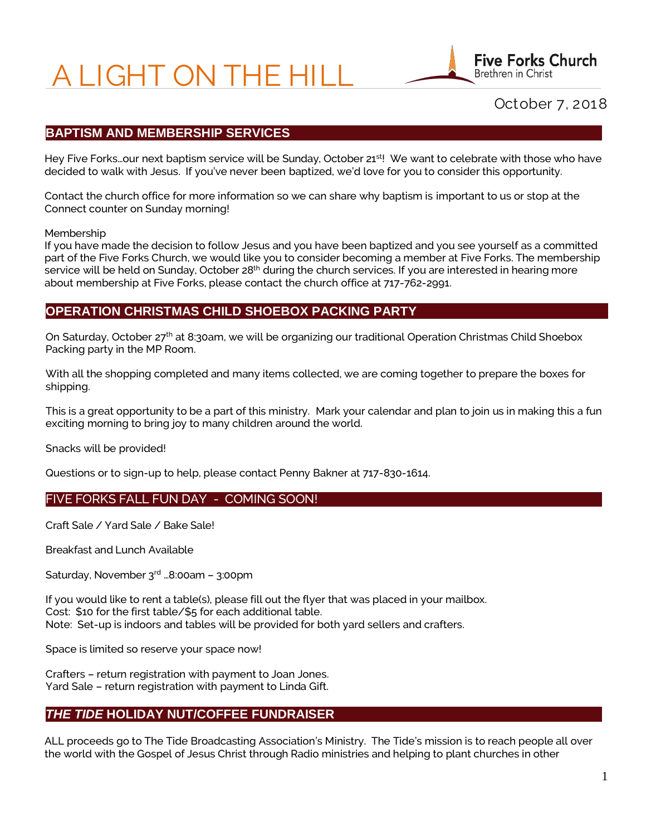# A LIGHT ON THE HILL



October 7, 2018

# **BAPTISM AND MEMBERSHIP SERVICES**

Hey Five Forks…our next baptism service will be Sunday, October 21<sup>st</sup>! We want to celebrate with those who have decided to walk with Jesus. If you've never been baptized, we'd love for you to consider this opportunity.

Contact the church office for more information so we can share why baptism is important to us or stop at the Connect counter on Sunday morning!

Membership

If you have made the decision to follow Jesus and you have been baptized and you see yourself as a committed part of the Five Forks Church, we would like you to consider becoming a member at Five Forks. The membership service will be held on Sunday, October 28<sup>th</sup> during the church services. If you are interested in hearing more about membership at Five Forks, please contact the church office at 717-762-2991.

## **OPERATION CHRISTMAS CHILD SHOEBOX PACKING PARTY**

On Saturday, October 27<sup>th</sup> at 8:30am, we will be organizing our traditional Operation Christmas Child Shoebox Packing party in the MP Room.

With all the shopping completed and many items collected, we are coming together to prepare the boxes for shipping.

This is a great opportunity to be a part of this ministry. Mark your calendar and plan to join us in making this a fun exciting morning to bring joy to many children around the world.

Snacks will be provided!

Questions or to sign-up to help, please contact Penny Bakner at 717-830-1614.

## FIVE FORKS FALL FUN DAY - COMING SOON!

Craft Sale / Yard Sale / Bake Sale!

Breakfast and Lunch Available

Saturday, November 3rd …8:00am – 3:00pm

If you would like to rent a table(s), please fill out the flyer that was placed in your mailbox. Cost: \$10 for the first table/\$5 for each additional table. Note: Set-up is indoors and tables will be provided for both yard sellers and crafters.

Space is limited so reserve your space now!

Crafters – return registration with payment to Joan Jones. Yard Sale – return registration with payment to Linda Gift.

## *THE TIDE* **HOLIDAY NUT/COFFEE FUNDRAISER**

ALL proceeds go to The Tide Broadcasting Association's Ministry. The Tide's mission is to reach people all over the world with the Gospel of Jesus Christ through Radio ministries and helping to plant churches in other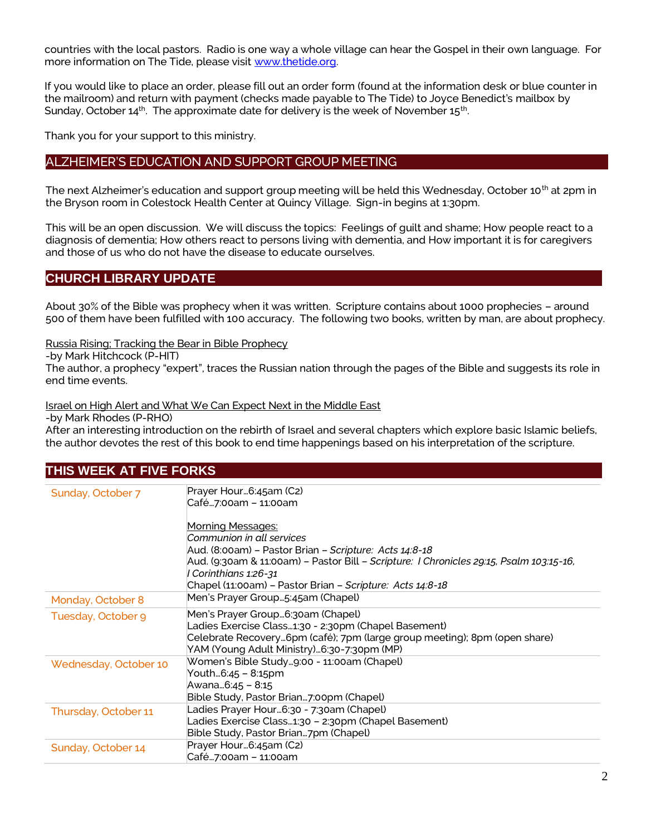countries with the local pastors. Radio is one way a whole village can hear the Gospel in their own language. For more information on The Tide, please visi[t www.thetide.org.](http://www.thetide.org/)

If you would like to place an order, please fill out an order form (found at the information desk or blue counter in the mailroom) and return with payment (checks made payable to The Tide) to Joyce Benedict's mailbox by Sunday, October  $14^{\text{th}}$ . The approximate date for delivery is the week of November  $15^{\text{th}}$ .

Thank you for your support to this ministry.

## ALZHEIMER'S EDUCATION AND SUPPORT GROUP MEETING

The next Alzheimer's education and support group meeting will be held this Wednesday, October 10<sup>th</sup> at 2pm in the Bryson room in Colestock Health Center at Quincy Village. Sign-in begins at 1:30pm.

This will be an open discussion. We will discuss the topics: Feelings of guilt and shame; How people react to a diagnosis of dementia; How others react to persons living with dementia, and How important it is for caregivers and those of us who do not have the disease to educate ourselves.

## **CHURCH LIBRARY UPDATE**

About 30% of the Bible was prophecy when it was written. Scripture contains about 1000 prophecies – around 500 of them have been fulfilled with 100 accuracy. The following two books, written by man, are about prophecy.

#### Russia Rising; Tracking the Bear in Bible Prophecy

-by Mark Hitchcock (P-HIT)

The author, a prophecy "expert", traces the Russian nation through the pages of the Bible and suggests its role in end time events.

#### Israel on High Alert and What We Can Expect Next in the Middle East

-by Mark Rhodes (P-RHO)

After an interesting introduction on the rebirth of Israel and several chapters which explore basic Islamic beliefs, the author devotes the rest of this book to end time happenings based on his interpretation of the scripture.

## **THIS WEEK AT FIVE FORKS**

| Sunday, October 7     | Prayer Hour…6:45am (C2)                                                                         |
|-----------------------|-------------------------------------------------------------------------------------------------|
|                       | Café…7:00am – 11:00am                                                                           |
|                       |                                                                                                 |
|                       | <u> Morning Messages:</u><br>Communion in all services                                          |
|                       |                                                                                                 |
|                       | Aud. (8:00am) - Pastor Brian - Scripture: Acts 14:8-18                                          |
|                       | Aud. (9:30am & 11:00am) – Pastor Bill – <i>Scripture: I Chronicles 29:15, Psalm 103:15-16</i> , |
|                       | Corinthians 1:26-31                                                                             |
|                       | Chapel (11:00am) - Pastor Brian - Scripture: Acts 14:8-18                                       |
| Monday, October 8     | Men's Prayer Group5:45am (Chapel)                                                               |
| Tuesday, October 9    | Men's Prayer Group6:30am (Chapel)                                                               |
|                       | Ladies Exercise Class1:30 - 2:30pm (Chapel Basement)                                            |
|                       | Celebrate Recovery6pm (café); 7pm (large group meeting); 8pm (open share)                       |
|                       | YAM (Young Adult Ministry)6:30-7:30pm (MP)                                                      |
| Wednesday, October 10 | Women's Bible Studyg:00 - 11:00am (Chapel)                                                      |
|                       | Youth6:45 – 8:15pm                                                                              |
|                       | Awana6:45 - 8:15                                                                                |
|                       | Bible Study, Pastor Brian…7:00pm (Chapel)                                                       |
| Thursday, October 11  | Ladies Prayer Hour…6:30 - 7:30am (Chapel)                                                       |
|                       | Ladies Exercise Class1:30 - 2:30pm (Chapel Basement)                                            |
|                       | Bible Study, Pastor Brian7pm (Chapel)                                                           |
| Sunday, October 14    | Prayer Hour6:45am (C2)                                                                          |
|                       | Café…7:00am – 11:00am                                                                           |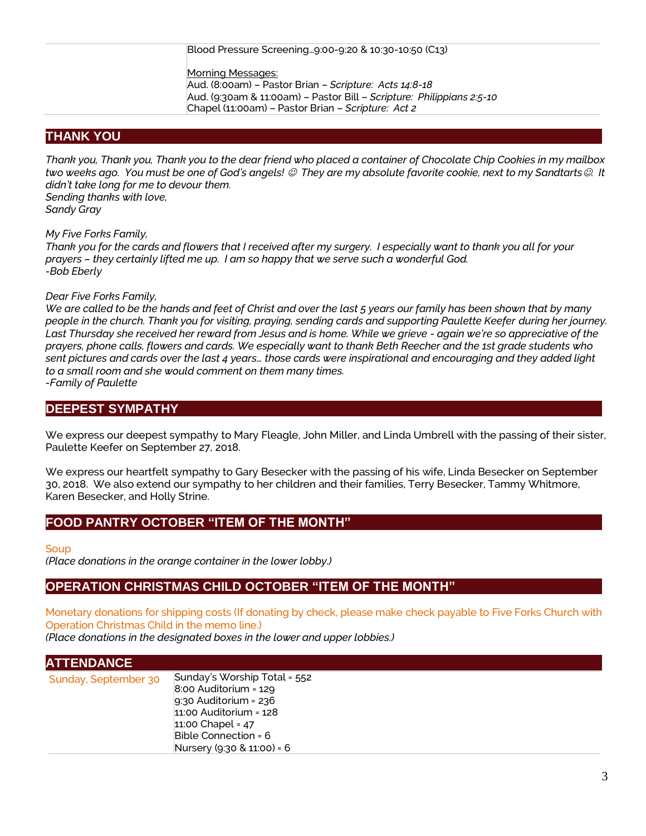#### Blood Pressure Screening…9:00-9:20 & 10:30-10:50 (C13)

Morning Messages: Aud. (8:00am) – Pastor Brian – *Scripture: Acts 14:8-18* Aud. (9:30am & 11:00am) – Pastor Bill – *Scripture: Philippians 2:5-10* Chapel (11:00am) – Pastor Brian – *Scripture: Act 2*

## **THANK YOU**

*Thank you, Thank you, Thank you to the dear friend who placed a container of Chocolate Chip Cookies in my mailbox two weeks ago. You must be one of God's angels! They are my absolute favorite cookie, next to my Sandtarts. It didn't take long for me to devour them.* 

*Sending thanks with love, Sandy Gray*

*My Five Forks Family,*

*Thank you for the cards and flowers that I received after my surgery. I especially want to thank you all for your prayers – they certainly lifted me up. I am so happy that we serve such a wonderful God. -Bob Eberly*

#### *Dear Five Forks Family,*

*We are called to be the hands and feet of Christ and over the last 5 years our family has been shown that by many people in the church. Thank you for visiting, praying, sending cards and supporting Paulette Keefer during her journey. Last Thursday she received her reward from Jesus and is home. While we grieve - again we're so appreciative of the prayers, phone calls, flowers and cards. We especially want to thank Beth Reecher and the 1st grade students who sent pictures and cards over the last 4 years… those cards were inspirational and encouraging and they added light to a small room and she would comment on them many times. -Family of Paulette* 

## **DEEPEST SYMPATHY**

We express our deepest sympathy to Mary Fleagle, John Miller, and Linda Umbrell with the passing of their sister, Paulette Keefer on September 27, 2018.

We express our heartfelt sympathy to Gary Besecker with the passing of his wife, Linda Besecker on September 30, 2018. We also extend our sympathy to her children and their families, Terry Besecker, Tammy Whitmore, Karen Besecker, and Holly Strine.

## **FOOD PANTRY OCTOBER "ITEM OF THE MONTH"**

#### Soup

*(Place donations in the orange container in the lower lobby.)*

# **OPERATION CHRISTMAS CHILD OCTOBER "ITEM OF THE MONTH"**

Monetary donations for shipping costs (If donating by check, please make check payable to Five Forks Church with Operation Christmas Child in the memo line.)

*(Place donations in the designated boxes in the lower and upper lobbies.)*

| ATTENDANCE           |                                                                                                                                                                                                 |
|----------------------|-------------------------------------------------------------------------------------------------------------------------------------------------------------------------------------------------|
| Sunday, September 30 | Sunday's Worship Total = 552<br>$8:00$ Auditorium = 129<br>$9:30$ Auditorium = 236<br>$11:00$ Auditorium = $128$<br>11:00 Chapel = $47$<br>Bible Connection = 6<br>Nursery (9:30 & 11:00) = $6$ |